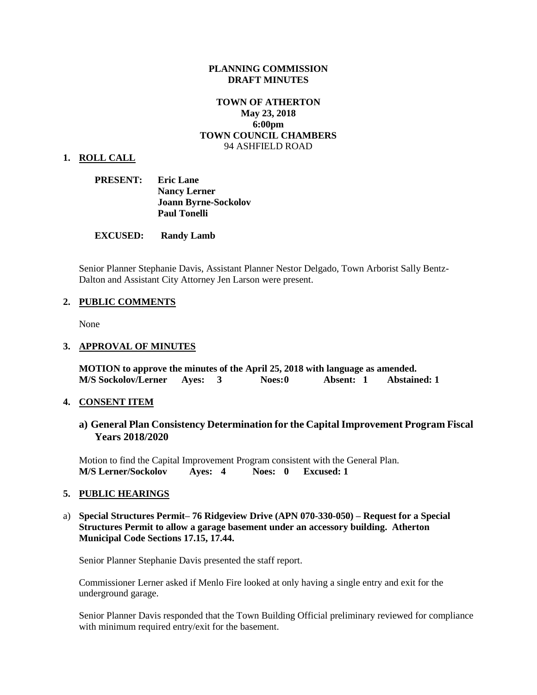#### **PLANNING COMMISSION DRAFT MINUTES**

### **TOWN OF ATHERTON May 23, 2018 6:00pm TOWN COUNCIL CHAMBERS** 94 ASHFIELD ROAD

#### **1. ROLL CALL**

| <b>PRESENT:</b> | <b>Eric Lane</b>            |
|-----------------|-----------------------------|
|                 | <b>Nancy Lerner</b>         |
|                 | <b>Joann Byrne-Sockolov</b> |
|                 | <b>Paul Tonelli</b>         |

**EXCUSED: Randy Lamb**

Senior Planner Stephanie Davis, Assistant Planner Nestor Delgado, Town Arborist Sally Bentz-Dalton and Assistant City Attorney Jen Larson were present.

#### **2. PUBLIC COMMENTS**

None

#### **3. APPROVAL OF MINUTES**

**MOTION to approve the minutes of the April 25, 2018 with language as amended. M/S Sockolov/Lerner Ayes: 3 Noes:0 Absent: 1 Abstained: 1**

#### **4. CONSENT ITEM**

## **a) General Plan Consistency Determination for the Capital Improvement Program Fiscal Years 2018/2020**

Motion to find the Capital Improvement Program consistent with the General Plan. **M/S Lerner/Sockolov Ayes: 4 Noes: 0 Excused: 1**

#### **5. PUBLIC HEARINGS**

a) **Special Structures Permit– 76 Ridgeview Drive (APN 070-330-050) – Request for a Special Structures Permit to allow a garage basement under an accessory building. Atherton Municipal Code Sections 17.15, 17.44.**

Senior Planner Stephanie Davis presented the staff report.

Commissioner Lerner asked if Menlo Fire looked at only having a single entry and exit for the underground garage.

Senior Planner Davis responded that the Town Building Official preliminary reviewed for compliance with minimum required entry/exit for the basement.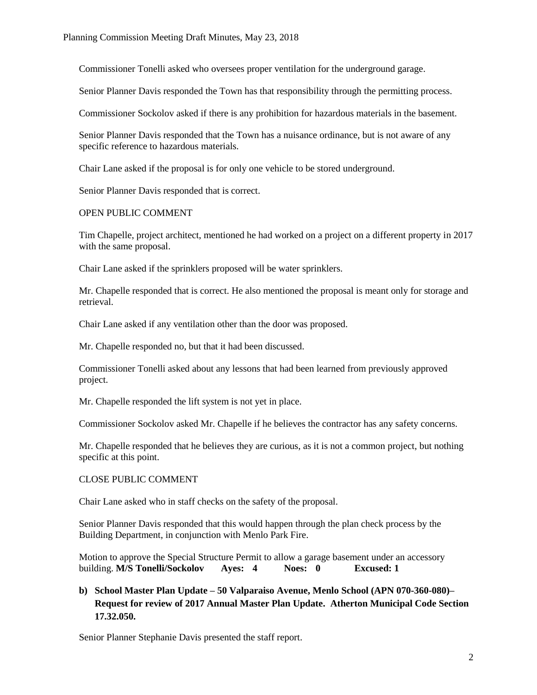Commissioner Tonelli asked who oversees proper ventilation for the underground garage.

Senior Planner Davis responded the Town has that responsibility through the permitting process.

Commissioner Sockolov asked if there is any prohibition for hazardous materials in the basement.

Senior Planner Davis responded that the Town has a nuisance ordinance, but is not aware of any specific reference to hazardous materials.

Chair Lane asked if the proposal is for only one vehicle to be stored underground.

Senior Planner Davis responded that is correct.

## OPEN PUBLIC COMMENT

Tim Chapelle, project architect, mentioned he had worked on a project on a different property in 2017 with the same proposal.

Chair Lane asked if the sprinklers proposed will be water sprinklers.

Mr. Chapelle responded that is correct. He also mentioned the proposal is meant only for storage and retrieval.

Chair Lane asked if any ventilation other than the door was proposed.

Mr. Chapelle responded no, but that it had been discussed.

Commissioner Tonelli asked about any lessons that had been learned from previously approved project.

Mr. Chapelle responded the lift system is not yet in place.

Commissioner Sockolov asked Mr. Chapelle if he believes the contractor has any safety concerns.

Mr. Chapelle responded that he believes they are curious, as it is not a common project, but nothing specific at this point.

## CLOSE PUBLIC COMMENT

Chair Lane asked who in staff checks on the safety of the proposal.

Senior Planner Davis responded that this would happen through the plan check process by the Building Department, in conjunction with Menlo Park Fire.

Motion to approve the Special Structure Permit to allow a garage basement under an accessory building. **M/S Tonelli/Sockolov Ayes: 4 Noes: 0 Excused: 1**

**b) School Master Plan Update – 50 Valparaiso Avenue, Menlo School (APN 070-360-080)– Request for review of 2017 Annual Master Plan Update. Atherton Municipal Code Section 17.32.050.** 

Senior Planner Stephanie Davis presented the staff report.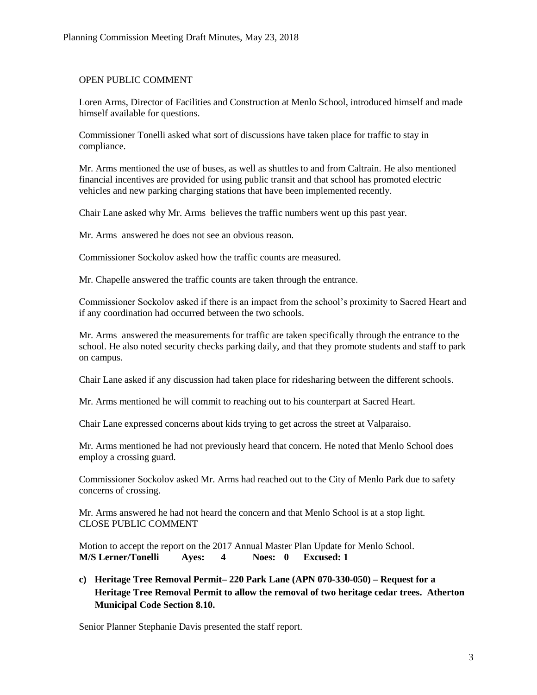## OPEN PUBLIC COMMENT

Loren Arms, Director of Facilities and Construction at Menlo School, introduced himself and made himself available for questions.

Commissioner Tonelli asked what sort of discussions have taken place for traffic to stay in compliance.

Mr. Arms mentioned the use of buses, as well as shuttles to and from Caltrain. He also mentioned financial incentives are provided for using public transit and that school has promoted electric vehicles and new parking charging stations that have been implemented recently.

Chair Lane asked why Mr. Arms believes the traffic numbers went up this past year.

Mr. Arms answered he does not see an obvious reason.

Commissioner Sockolov asked how the traffic counts are measured.

Mr. Chapelle answered the traffic counts are taken through the entrance.

Commissioner Sockolov asked if there is an impact from the school's proximity to Sacred Heart and if any coordination had occurred between the two schools.

Mr. Arms answered the measurements for traffic are taken specifically through the entrance to the school. He also noted security checks parking daily, and that they promote students and staff to park on campus.

Chair Lane asked if any discussion had taken place for ridesharing between the different schools.

Mr. Arms mentioned he will commit to reaching out to his counterpart at Sacred Heart.

Chair Lane expressed concerns about kids trying to get across the street at Valparaiso.

Mr. Arms mentioned he had not previously heard that concern. He noted that Menlo School does employ a crossing guard.

Commissioner Sockolov asked Mr. Arms had reached out to the City of Menlo Park due to safety concerns of crossing.

Mr. Arms answered he had not heard the concern and that Menlo School is at a stop light. CLOSE PUBLIC COMMENT

Motion to accept the report on the 2017 Annual Master Plan Update for Menlo School. **M/S Lerner/Tonelli Ayes: 4 Noes: 0 Excused: 1**

**c) Heritage Tree Removal Permit– 220 Park Lane (APN 070-330-050) – Request for a Heritage Tree Removal Permit to allow the removal of two heritage cedar trees. Atherton Municipal Code Section 8.10.**

Senior Planner Stephanie Davis presented the staff report.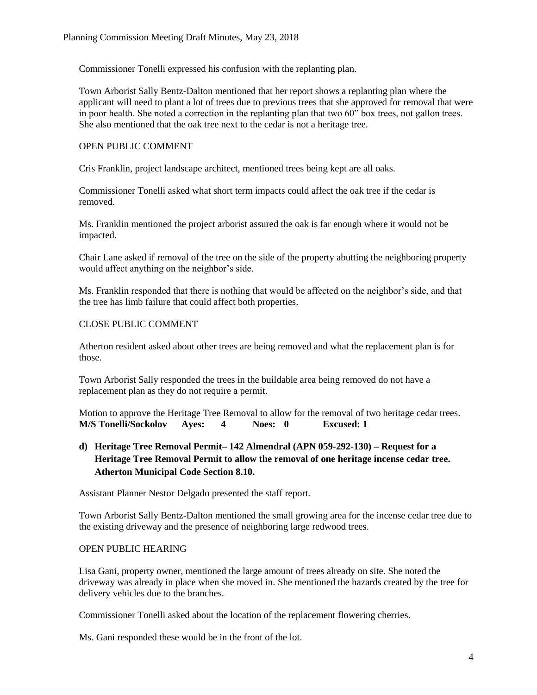Commissioner Tonelli expressed his confusion with the replanting plan.

Town Arborist Sally Bentz-Dalton mentioned that her report shows a replanting plan where the applicant will need to plant a lot of trees due to previous trees that she approved for removal that were in poor health. She noted a correction in the replanting plan that two 60" box trees, not gallon trees. She also mentioned that the oak tree next to the cedar is not a heritage tree.

### OPEN PUBLIC COMMENT

Cris Franklin, project landscape architect, mentioned trees being kept are all oaks.

Commissioner Tonelli asked what short term impacts could affect the oak tree if the cedar is removed.

Ms. Franklin mentioned the project arborist assured the oak is far enough where it would not be impacted.

Chair Lane asked if removal of the tree on the side of the property abutting the neighboring property would affect anything on the neighbor's side.

Ms. Franklin responded that there is nothing that would be affected on the neighbor's side, and that the tree has limb failure that could affect both properties.

#### CLOSE PUBLIC COMMENT

Atherton resident asked about other trees are being removed and what the replacement plan is for those.

Town Arborist Sally responded the trees in the buildable area being removed do not have a replacement plan as they do not require a permit.

Motion to approve the Heritage Tree Removal to allow for the removal of two heritage cedar trees. **M/S Tonelli/Sockolov Ayes: 4 Noes: 0 Excused: 1**

**d) Heritage Tree Removal Permit– 142 Almendral (APN 059-292-130) – Request for a Heritage Tree Removal Permit to allow the removal of one heritage incense cedar tree. Atherton Municipal Code Section 8.10.**

Assistant Planner Nestor Delgado presented the staff report.

Town Arborist Sally Bentz-Dalton mentioned the small growing area for the incense cedar tree due to the existing driveway and the presence of neighboring large redwood trees.

### OPEN PUBLIC HEARING

Lisa Gani, property owner, mentioned the large amount of trees already on site. She noted the driveway was already in place when she moved in. She mentioned the hazards created by the tree for delivery vehicles due to the branches.

Commissioner Tonelli asked about the location of the replacement flowering cherries.

Ms. Gani responded these would be in the front of the lot.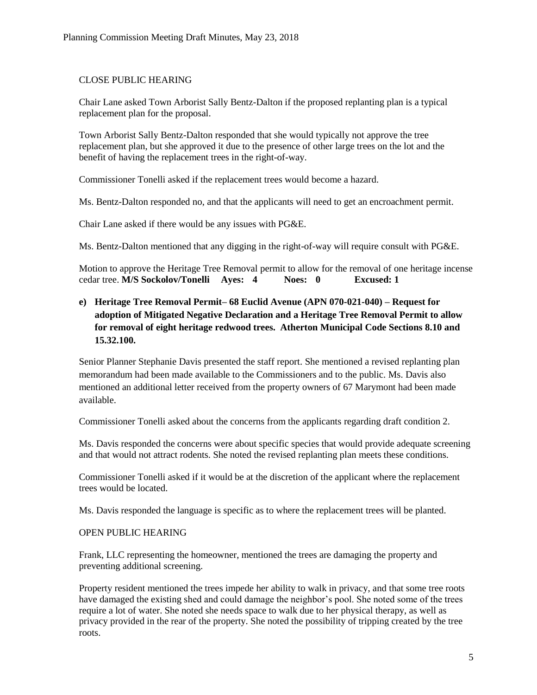# CLOSE PUBLIC HEARING

Chair Lane asked Town Arborist Sally Bentz-Dalton if the proposed replanting plan is a typical replacement plan for the proposal.

Town Arborist Sally Bentz-Dalton responded that she would typically not approve the tree replacement plan, but she approved it due to the presence of other large trees on the lot and the benefit of having the replacement trees in the right-of-way.

Commissioner Tonelli asked if the replacement trees would become a hazard.

Ms. Bentz-Dalton responded no, and that the applicants will need to get an encroachment permit.

Chair Lane asked if there would be any issues with PG&E.

Ms. Bentz-Dalton mentioned that any digging in the right-of-way will require consult with PG&E.

Motion to approve the Heritage Tree Removal permit to allow for the removal of one heritage incense cedar tree. **M/S Sockolov/Tonelli Ayes: 4 Noes: 0 Excused: 1**

**e) Heritage Tree Removal Permit– 68 Euclid Avenue (APN 070-021-040) – Request for adoption of Mitigated Negative Declaration and a Heritage Tree Removal Permit to allow for removal of eight heritage redwood trees. Atherton Municipal Code Sections 8.10 and 15.32.100.**

Senior Planner Stephanie Davis presented the staff report. She mentioned a revised replanting plan memorandum had been made available to the Commissioners and to the public. Ms. Davis also mentioned an additional letter received from the property owners of 67 Marymont had been made available.

Commissioner Tonelli asked about the concerns from the applicants regarding draft condition 2.

Ms. Davis responded the concerns were about specific species that would provide adequate screening and that would not attract rodents. She noted the revised replanting plan meets these conditions.

Commissioner Tonelli asked if it would be at the discretion of the applicant where the replacement trees would be located.

Ms. Davis responded the language is specific as to where the replacement trees will be planted.

## OPEN PUBLIC HEARING

Frank, LLC representing the homeowner, mentioned the trees are damaging the property and preventing additional screening.

Property resident mentioned the trees impede her ability to walk in privacy, and that some tree roots have damaged the existing shed and could damage the neighbor's pool. She noted some of the trees require a lot of water. She noted she needs space to walk due to her physical therapy, as well as privacy provided in the rear of the property. She noted the possibility of tripping created by the tree roots.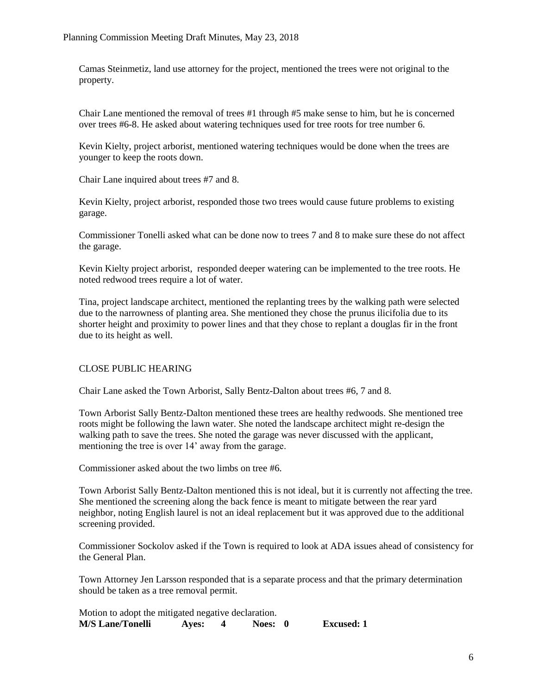Camas Steinmetiz, land use attorney for the project, mentioned the trees were not original to the property.

Chair Lane mentioned the removal of trees #1 through #5 make sense to him, but he is concerned over trees #6-8. He asked about watering techniques used for tree roots for tree number 6.

Kevin Kielty, project arborist, mentioned watering techniques would be done when the trees are younger to keep the roots down.

Chair Lane inquired about trees #7 and 8.

Kevin Kielty, project arborist, responded those two trees would cause future problems to existing garage.

Commissioner Tonelli asked what can be done now to trees 7 and 8 to make sure these do not affect the garage.

Kevin Kielty project arborist, responded deeper watering can be implemented to the tree roots. He noted redwood trees require a lot of water.

Tina, project landscape architect, mentioned the replanting trees by the walking path were selected due to the narrowness of planting area. She mentioned they chose the prunus ilicifolia due to its shorter height and proximity to power lines and that they chose to replant a douglas fir in the front due to its height as well.

### CLOSE PUBLIC HEARING

Chair Lane asked the Town Arborist, Sally Bentz-Dalton about trees #6, 7 and 8.

Town Arborist Sally Bentz-Dalton mentioned these trees are healthy redwoods. She mentioned tree roots might be following the lawn water. She noted the landscape architect might re-design the walking path to save the trees. She noted the garage was never discussed with the applicant, mentioning the tree is over 14' away from the garage.

Commissioner asked about the two limbs on tree #6.

Town Arborist Sally Bentz-Dalton mentioned this is not ideal, but it is currently not affecting the tree. She mentioned the screening along the back fence is meant to mitigate between the rear yard neighbor, noting English laurel is not an ideal replacement but it was approved due to the additional screening provided.

Commissioner Sockolov asked if the Town is required to look at ADA issues ahead of consistency for the General Plan.

Town Attorney Jen Larsson responded that is a separate process and that the primary determination should be taken as a tree removal permit.

| Motion to adopt the mitigated negative declaration. |       |  |         |  |                   |  |  |
|-----------------------------------------------------|-------|--|---------|--|-------------------|--|--|
| <b>M/S Lane/Tonelli</b>                             | Aves: |  | Noes: 0 |  | <b>Excused: 1</b> |  |  |